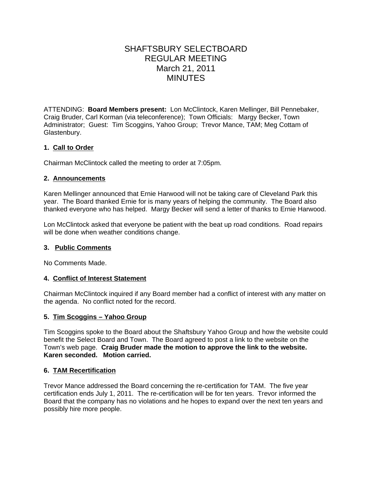# SHAFTSBURY SELECTBOARD REGULAR MEETING March 21, 2011 **MINUTES**

ATTENDING: **Board Members present:** Lon McClintock, Karen Mellinger, Bill Pennebaker, Craig Bruder, Carl Korman (via teleconference); Town Officials: Margy Becker, Town Administrator; Guest: Tim Scoggins, Yahoo Group; Trevor Mance, TAM; Meg Cottam of Glastenbury.

# **1. Call to Order**

Chairman McClintock called the meeting to order at 7:05pm.

## **2. Announcements**

Karen Mellinger announced that Ernie Harwood will not be taking care of Cleveland Park this year. The Board thanked Ernie for is many years of helping the community. The Board also thanked everyone who has helped. Margy Becker will send a letter of thanks to Ernie Harwood.

Lon McClintock asked that everyone be patient with the beat up road conditions. Road repairs will be done when weather conditions change.

## **3. Public Comments**

No Comments Made.

## **4. Conflict of Interest Statement**

Chairman McClintock inquired if any Board member had a conflict of interest with any matter on the agenda. No conflict noted for the record.

## **5. Tim Scoggins – Yahoo Group**

Tim Scoggins spoke to the Board about the Shaftsbury Yahoo Group and how the website could benefit the Select Board and Town. The Board agreed to post a link to the website on the Town's web page. **Craig Bruder made the motion to approve the link to the website. Karen seconded. Motion carried.**

## **6. TAM Recertification**

Trevor Mance addressed the Board concerning the re-certification for TAM. The five year certification ends July 1, 2011. The re-certification will be for ten years. Trevor informed the Board that the company has no violations and he hopes to expand over the next ten years and possibly hire more people.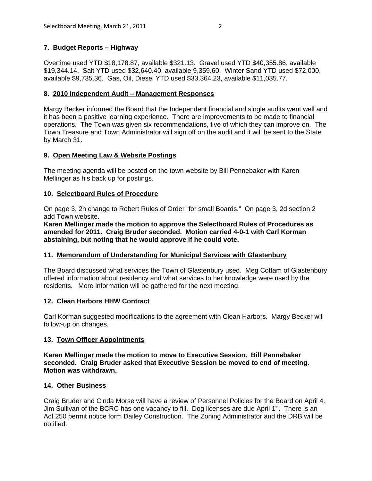# **7. Budget Reports – Highway**

Overtime used YTD \$18,178.87, available \$321.13. Gravel used YTD \$40,355.86, available \$19,344.14. Salt YTD used \$32,640.40, available 9,359.60. Winter Sand YTD used \$72,000, available \$9,735.36. Gas, Oil, Diesel YTD used \$33,364.23, available \$11,035.77.

#### **8. 2010 Independent Audit – Management Responses**

Margy Becker informed the Board that the Independent financial and single audits went well and it has been a positive learning experience. There are improvements to be made to financial operations. The Town was given six recommendations, five of which they can improve on. The Town Treasure and Town Administrator will sign off on the audit and it will be sent to the State by March 31.

#### **9. Open Meeting Law & Website Postings**

The meeting agenda will be posted on the town website by Bill Pennebaker with Karen Mellinger as his back up for postings.

## **10. Selectboard Rules of Procedure**

On page 3, 2h change to Robert Rules of Order "for small Boards." On page 3, 2d section 2 add Town website.

**Karen Mellinger made the motion to approve the Selectboard Rules of Procedures as amended for 2011. Craig Bruder seconded. Motion carried 4-0-1 with Carl Korman abstaining, but noting that he would approve if he could vote.**

## **11. Memorandum of Understanding for Municipal Services with Glastenbury**

The Board discussed what services the Town of Glastenbury used. Meg Cottam of Glastenbury offered information about residency and what services to her knowledge were used by the residents. More information will be gathered for the next meeting.

#### **12. Clean Harbors HHW Contract**

Carl Korman suggested modifications to the agreement with Clean Harbors. Margy Becker will follow-up on changes.

## **13. Town Officer Appointments**

**Karen Mellinger made the motion to move to Executive Session. Bill Pennebaker seconded. Craig Bruder asked that Executive Session be moved to end of meeting. Motion was withdrawn.**

#### **14. Other Business**

Craig Bruder and Cinda Morse will have a review of Personnel Policies for the Board on April 4. Jim Sullivan of the BCRC has one vacancy to fill. Dog licenses are due April 1<sup>st</sup>. There is an Act 250 permit notice form Dailey Construction. The Zoning Administrator and the DRB will be notified.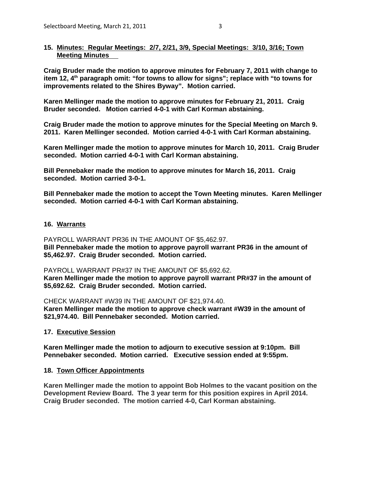#### **15. Minutes: Regular Meetings: 2/7, 2/21, 3/9, Special Meetings: 3/10, 3/16; Town Meeting Minutes**

**Craig Bruder made the motion to approve minutes for February 7, 2011 with change to item 12, 4th paragraph omit: "for towns to allow for signs"; replace with "to towns for improvements related to the Shires Byway". Motion carried.**

**Karen Mellinger made the motion to approve minutes for February 21, 2011. Craig Bruder seconded. Motion carried 4-0-1 with Carl Korman abstaining.**

**Craig Bruder made the motion to approve minutes for the Special Meeting on March 9. 2011. Karen Mellinger seconded. Motion carried 4-0-1 with Carl Korman abstaining.**

**Karen Mellinger made the motion to approve minutes for March 10, 2011. Craig Bruder seconded. Motion carried 4-0-1 with Carl Korman abstaining.**

**Bill Pennebaker made the motion to approve minutes for March 16, 2011. Craig seconded. Motion carried 3-0-1.** 

**Bill Pennebaker made the motion to accept the Town Meeting minutes. Karen Mellinger seconded. Motion carried 4-0-1 with Carl Korman abstaining.**

#### **16. Warrants**

PAYROLL WARRANT PR36 IN THE AMOUNT OF \$5,462.97. **Bill Pennebaker made the motion to approve payroll warrant PR36 in the amount of \$5,462.97. Craig Bruder seconded. Motion carried.**

PAYROLL WARRANT PR#37 IN THE AMOUNT OF \$5,692.62. **Karen Mellinger made the motion to approve payroll warrant PR#37 in the amount of \$5,692.62. Craig Bruder seconded. Motion carried.**

CHECK WARRANT #W39 IN THE AMOUNT OF \$21,974.40. **Karen Mellinger made the motion to approve check warrant #W39 in the amount of \$21,974.40. Bill Pennebaker seconded. Motion carried.** 

**17. Executive Session**

**Karen Mellinger made the motion to adjourn to executive session at 9:10pm. Bill Pennebaker seconded. Motion carried. Executive session ended at 9:55pm.** 

#### **18. Town Officer Appointments**

**Karen Mellinger made the motion to appoint Bob Holmes to the vacant position on the Development Review Board. The 3 year term for this position expires in April 2014. Craig Bruder seconded. The motion carried 4-0, Carl Korman abstaining.**